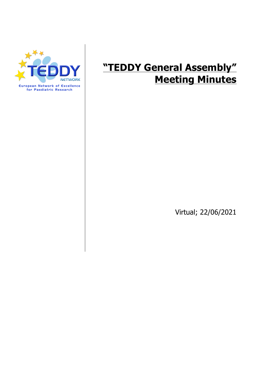

# **"TEDDY General Assembly" Meeting Minutes**

Virtual; 22/06/2021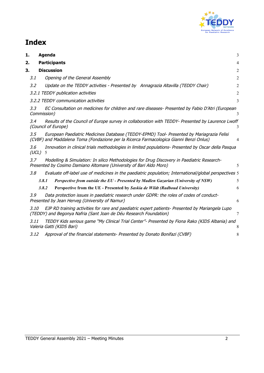

# **Index**

| Agenda                                                                                                                                                                                     | 3                                                                                                                                                                                                                                                                                                                                                                                                                                                                                                                      |
|--------------------------------------------------------------------------------------------------------------------------------------------------------------------------------------------|------------------------------------------------------------------------------------------------------------------------------------------------------------------------------------------------------------------------------------------------------------------------------------------------------------------------------------------------------------------------------------------------------------------------------------------------------------------------------------------------------------------------|
| <b>Participants</b>                                                                                                                                                                        | $\overline{4}$                                                                                                                                                                                                                                                                                                                                                                                                                                                                                                         |
| <b>Discussion</b>                                                                                                                                                                          | $\overline{2}$                                                                                                                                                                                                                                                                                                                                                                                                                                                                                                         |
| 3.1<br>Opening of the General Assembly                                                                                                                                                     | 2                                                                                                                                                                                                                                                                                                                                                                                                                                                                                                                      |
| 3.2<br>Update on the TEDDY activities - Presented by Annagrazia Altavilla (TEDDY Chair)                                                                                                    | $\overline{c}$                                                                                                                                                                                                                                                                                                                                                                                                                                                                                                         |
| 3.2.1 TEDDY publication activities                                                                                                                                                         | $\overline{2}$                                                                                                                                                                                                                                                                                                                                                                                                                                                                                                         |
| 3.2.2 TEDDY communication activities                                                                                                                                                       | 3                                                                                                                                                                                                                                                                                                                                                                                                                                                                                                                      |
| 3,3<br>Commission)                                                                                                                                                                         | 3                                                                                                                                                                                                                                                                                                                                                                                                                                                                                                                      |
| 3.4<br>(Council of Europe)                                                                                                                                                                 | 3                                                                                                                                                                                                                                                                                                                                                                                                                                                                                                                      |
| 3.5<br>European Paediatric Medicines Database (TEDDY-EPMD) Tool- Presented by Mariagrazia Felisi<br>(CVBF) and Maddalena Toma (Fondazione per la Ricerca Farmacologica Gianni Benzi Onlus) | $\overline{4}$                                                                                                                                                                                                                                                                                                                                                                                                                                                                                                         |
| 3.6<br>(UCL)<br>5                                                                                                                                                                          |                                                                                                                                                                                                                                                                                                                                                                                                                                                                                                                        |
| Modelling & Simulation: In silico Methodologies for Drug Discovery in Paediatric Research-<br>3.7<br>Presented by Cosimo Damiano Altomare (University of Bari Aldo Moro)                   | 5                                                                                                                                                                                                                                                                                                                                                                                                                                                                                                                      |
| 3.8                                                                                                                                                                                        |                                                                                                                                                                                                                                                                                                                                                                                                                                                                                                                        |
| 3.8.1<br>Perspective from outside the EU - Presented by Madlen Gazarian (University of NSW)                                                                                                | 5                                                                                                                                                                                                                                                                                                                                                                                                                                                                                                                      |
| 3.8.2<br>Perspective from the UE - Presented by Saskia de Wildt (Radboud University)                                                                                                       | 6                                                                                                                                                                                                                                                                                                                                                                                                                                                                                                                      |
| Data protection issues in paediatric research under GDPR: the roles of codes of conduct-<br>3.9<br>Presented by Jean Herveg (University of Namur)                                          | 6                                                                                                                                                                                                                                                                                                                                                                                                                                                                                                                      |
| 3.10<br>EJP RD training activities for rare and paediatric expert patients- Presented by Mariangela Lupo<br>(TEDDY) and Begonya Nafria (Sant Joan de Déu Research Foundation)              | 7                                                                                                                                                                                                                                                                                                                                                                                                                                                                                                                      |
| 3.11<br>Valeria Gatti (KIDS Bari)                                                                                                                                                          | 8                                                                                                                                                                                                                                                                                                                                                                                                                                                                                                                      |
| 3.12<br>Approval of the financial statements- Presented by Donato Bonifazi (CVBF)                                                                                                          | 8                                                                                                                                                                                                                                                                                                                                                                                                                                                                                                                      |
|                                                                                                                                                                                            | EC Consultation on medicines for children and rare diseases- Presented by Fabio D'Atri (European<br>Results of the Council of Europe survey in collaboration with TEDDY- Presented by Laurence Lwoff<br>Innovation in clinical trials methodologies in limited populations- Presented by Oscar della Pasqua<br>Evaluate off-label use of medicines in the paediatric population; International/global perspectives 5<br>TEDDY Kids serious game "My Clinical Trial Center"- Presented by Fiona Rako (KIDS Albania) and |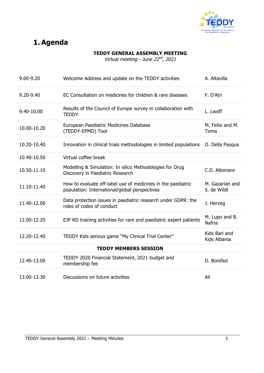

## **1. Agenda**

#### **TEDDY GENERAL ASSEMBLY MEETING**

Virtual meeting - June  $22^{nd}$ , 2021

| $9.00 - 9.20$ | Welcome Address and update on the TEDDY activities                                                            | A. Altavilla                   |
|---------------|---------------------------------------------------------------------------------------------------------------|--------------------------------|
| $9.20 - 9.40$ | EC Consultation on medicines for children & rare diseases                                                     | F. D'Atri                      |
| 9.40-10.00    | Results of the Council of Europe survey in collaboration with<br><b>TEDDY</b>                                 | L. Lwoff                       |
| 10.00-10.20   | European Paediatric Medicines Database<br>(TEDDY-EPMD) Tool                                                   | M. Felisi and M.<br>Toma       |
| 10.20-10.40   | Innovation in clinical trials methodologies in limited populations                                            | O. Della Pasqua                |
| 10.40-10.50   | Virtual coffee break                                                                                          |                                |
| 10.50-11.10   | Modelling & Simulation: In silico Methodologies for Drug<br>Discovery in Paediatric Research                  | C.D. Altomare                  |
|               |                                                                                                               |                                |
| 11.10-11.40   | How to evaluate off-label use of medicines in the paediatric<br>population: International/global perspectives | M. Gazarian and<br>S. de Wildt |
| 11.40-12.00   | Data protection issues in paediatric research under GDPR: the<br>roles of codes of conduct                    | J. Herveg                      |
| 12.00-12.20   | EJP RD training activities for rare and paediatric expert patients                                            | M. Lupo and B.<br>Nafria       |
| 12.20-12.40   | TEDDY Kids serious game "My Clinical Trial Center"                                                            | Kids Bari and<br>Kids Albania  |
|               | <b>TEDDY MEMBERS SESSION</b>                                                                                  |                                |
| 12.40-13.00   | TEDDY 2020 Financial Statement, 2021 budget and<br>membership fee                                             | D. Bonifazi                    |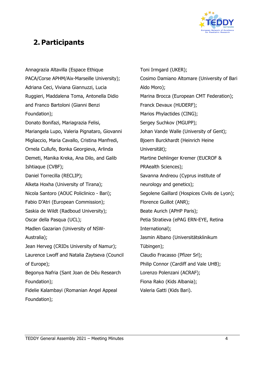

### **2. Participants**

Annagrazia Altavilla (Espace Ethique PACA/Corse APHM/Aix-Marseille University); Adriana Ceci, Viviana Giannuzzi, Lucia Ruggieri, Maddalena Toma, Antonella Didio and Franco Bartoloni (Gianni Benzi Foundation); Donato Bonifazi, Mariagrazia Felisi, Mariangela Lupo, Valeria Pignataro, Giovanni Migliaccio, Maria Cavallo, Cristina Manfredi, Ornela Cullufe, Bonka Georgieva, Arlinda Demeti, Manika Kreka, Ana Dilo, and Galib Ishtiaque (CVBF); Daniel Torrecilla (RECLIP); Alketa Hoxha (University of Tirana); Nicola Santoro (AOUC Policlinico - Bari); Fabio D'Atri (European Commission); Saskia de Wildt (Radboud University); Oscar della Pasqua (UCL); Madlen Gazarian (University of NSW-Australia); Jean Herveg (CRIDs University of Namur); Laurence Lwoff and Natalia Zaytseva (Council of Europe); Begonya Nafria (Sant Joan de Déu Research Foundation); Fidelie Kalambayi (Romanian Angel Appeal Foundation);

Toni Irmgard (UKER); Cosimo Damiano Altomare (University of Bari Aldo Moro); Marina Brocca (European CMT Federation); Franck Devaux (HUDERF); Marios Phylactides (CING); Sergey Suchkov (MGUPP); Johan Vande Walle (University of Gent); Bjoern Burckhardt (Heinrich Heine Universität); Martine Dehlinger Kremer (EUCROF & PRAealth Sciences); Savanna Andreou (Cyprus institute of neurology and genetics); Segolene Gaillard (Hospices Civils de Lyon); Florence Guillot (ANR); Beate Aurich (APHP Paris); Petia Stratieva (ePAG ERN-EYE, Retina International); Jasmin Albano (Universitätsklinikum Tübingen); Claudio Fracasso (Pfizer Srl); Philip Connor (Cardiff and Vale UHB); Lorenzo Polenzani (ACRAF); Fiona Rako (Kids Albania); Valeria Gatti (Kids Bari).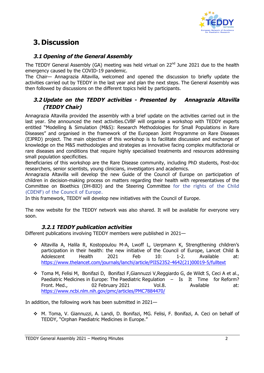

## **3. Discussion**

#### **3.1 Opening of the General Assembly**

The TEDDY General Assembly (GA) meeting was held virtual on 22<sup>nd</sup> June 2021 due to the health emergency caused by the COVID-19 pandemic.

The Chair— Annagrazia Altavilla, welcomed and opened the discussion to briefly update the activities carried out by TEDDY in the last year and plan the next steps. The General Assembly was then followed by discussions on the different topics held by participants.

#### **3.2 Update on the TEDDY activities - Presented by Annagrazia Altavilla (TEDDY Chair)**

Annagrazia Altavilla provided the assembly with a brief update on the activities carried out in the last year. She announced the next activities.CVBF will organise a workshop with TEDDY experts entitled "Modelling & Simulation (M&S): Research Methodologies for Small Populations in Rare Diseases" and organised in the framework of the European Joint Programme on Rare Diseases (EJPRD) project. The main objective of this workshop is to facilitate discussion and exchange of knowledge on the M&S methodologies and strategies as innovative facing complex multifactorial or rare diseases and conditions that require highly specialised treatments and resources addressing small population specificities.

Beneficiaries of this workshop are the Rare Disease community, including PhD students, Post-doc researchers, senior scientists, young clinicians, investigators and academics.

Annagrazia Altavilla will develop the new Guide of the Council of Europe on participation of children in decision-making process on matters regarding their health with representatives of the Committee on Bioethics (DH-BIO) and the Steering Committee for the rights of the Child (CDENF) of the Council of Europe.

In this framework, TEDDY will develop new initiatives with the Council of Europe.

The new website for the TEDDY network was also shared. It will be available for everyone very soon.

#### **3.2.1 TEDDY publication activities**

Different publications involving TEDDY members were published in 2021—

- \* Altavilla A, Halila R, Kostopoulou M-A, Lwoff L, Uerpmann K, Strengthening children's participation in their health: the new initiative of the Council of Europe, Lancet Child & Adolescent Health 2021 Feb 10: 1-2. Available at: https://www.thelancet.com/journals/lanchi/article/PIIS2352-4642(21)00019-5/fulltext
- \* Toma M, Felisi M, Bonifazi D, Bonifazi F, Giannuzzi V, Reggiardo G, de Wildt S, Ceci A et al., Paediatric Medicines in Europe: The Paediatric Regulation - Is It Time for Reform? Front. Med., 02 February 2021 Vol.8. Available at: https://www.ncbi.nlm.nih.gov/pmc/articles/PMC7884470/

In addition, the following work has been submitted in 2021—

v M. Toma, V. Giannuzzi, A. Landi, D. Bonifazi, MG. Felisi, F. Bonifazi, A. Ceci on behalf of TEDDY, "Orphan Paediatric Medicines in Europe."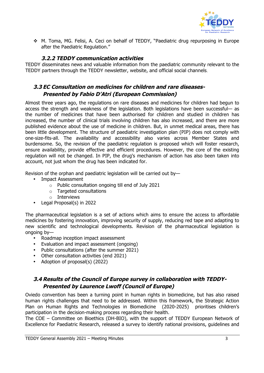

\* M. Toma, MG. Felisi, A. Ceci on behalf of TEDDY, "Paediatric drug repurposing in Europe after the Paediatric Regulation."

#### **3.2.2 TEDDY communication activities**

TEDDY disseminates news and valuable information from the paediatric community relevant to the TEDDY partners through the TEDDY newsletter, website, and official social channels.

#### **3.3 EC Consultation on medicines for children and rare diseases-Presented by Fabio D'Atri (European Commission)**

Almost three years ago, the regulations on rare diseases and medicines for children had begun to access the strength and weakness of the legislation. Both legislations have been successful— as the number of medicines that have been authorised for children and studied in children has increased, the number of clinical trials involving children has also increased, and there are more published evidence about the use of medicine in children. But, in unmet medical areas, there has been little development. The structure of paediatric investigation plan (PIP) does not comply with one-size-fits-all. The availability and accessibility also varies across Member States and burdensome. So, the revision of the paediatric regulation is proposed which will foster research, ensure availability, provide effective and efficient procedures. However, the core of the existing regulation will not be changed. In PIP, the drug's mechanism of action has also been taken into account, not just whom the drug has been indicated for.

Revision of the orphan and paediatric legislation will be carried out by—

- Impact Assessment
	- o Public consultation ongoing till end of July 2021
	- o Targeted consultations
	- o Interviews
- Legal Proposal(s) in 2022

The pharmaceutical legislation is a set of actions which aims to ensure the access to affordable medicines by fostering innovation, improving security of supply, reducing red tape and adapting to new scientific and technological developments. Revision of the pharmaceutical legislation is ongoing by—

- Roadmap inception impact assessment
- Evaluation and impact assessment (ongoing)
- Public consultations (after the summer 2021)
- Other consultation activities (end 2021)
- Adoption of proposal(s) (2022)

#### **3.4 Results of the Council of Europe survey in collaboration with TEDDY-Presented by Laurence Lwoff (Council of Europe)**

Oviedo convention has been a turning point in human rights in biomedicine, but has also raised human rights challenges that need to be addressed. Within this framework, the Strategic Action Plan on Human Rights and Technologies in Biomedicine (2020-2025) prioritises children's participation in the decision-making process regarding their health.

The COE – Committee on Bioethics (DH-BIO), with the support of TEDDY European Network of Excellence for Paediatric Research, released a survey to identify national provisions, guidelines and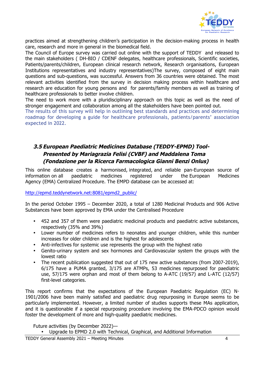

practices aimed at strengthening children's participation in the decision-making process in health care, research and more in general in the biomedical field.

The Council of Europe survey was carried out online with the support of TEDDY and released to the main stakeholders ( DH-BIO / CDENF delegates, healthcare professionals, Scientific societies, Patients/parents/children, European clinical research network, Research organisations, European Institutions representatives and industry representatives)The survey, composed of eight main questions and sub-questions, was successful. Answers from 36 countries were obtained. The most relevant activities identified from the survey in decision making process within healthcare and research are education for young persons and for parents/family members as well as training of healthcare professionals to better involve children.

The need to work more with a pluridisciplinary approach on this topic as well as the need of stronger engagement and collaboration among all the stakeholders have been pointed out.

The results of this survey will help in outlining best standards and practices and determining roadmap for developing a guide for healthcare professionals, patients/parents' association expected in 2022.

#### **3.5 European Paediatric Medicines Database (TEDDY-EPMD) Tool-Presented by Mariagrazia Felisi (CVBF) and Maddalena Toma (Fondazione per la Ricerca Farmacologica Gianni Benzi Onlus)**

This online database creates a harmonised, integrated, and reliable pan-European source of information on all paediatric medicines registered under the European Medicines Agency (EMA) Centralized Procedure. The EMPD database can be accessed at:

http://epmd.teddynetwork.net:8081/epmd2\_public/

In the period October 1995 – December 2020, a total of 1280 Medicinal Products and 906 Active Substances have been approved by EMA under the Centralised Procedure

- 452 and 357 of them were paediatric medicinal products and paediatric active substances, respectively (35% and 39%)
- Lower number of medicines refers to neonates and younger children, while this number increases for older children and is the highest for adolescents
- Anti-infectives for systemic use represents the group with the highest ratio
- Genito-urinary system and sex hormones and Cardiovascular system the groups with the lowest ratio
- The recent publication suggested that out of 175 new active substances (from 2007-2019), 6/175 have a PUMA granted, 3/175 are ATMPs, 53 medicines repurposed for paediatric use, 57/175 were orphan and most of them belong to A-ATC (19/57) and L-ATC (12/57) first-level categories.

This report confirms that the expectations of the European Paediatric Regulation (EC) N∘ 1901/2006 have been mainly satisfied and paediatric drug repurposing in Europe seems to be particularly implemented. However, a limited number of studies supports these MAs application, and it is questionable if a special repurposing procedure involving the EMA-PDCO opinion would foster the development of more and high-quality paediatric medicines.

Future activities (by December 2022)—

• Upgrade to EPMD 2.0 with Technical, Graphical, and Additional Information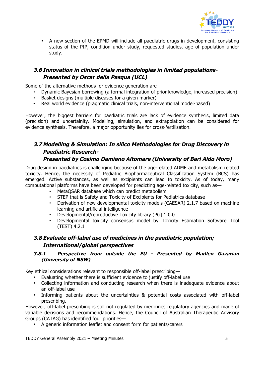

• A new section of the EPMD will include all paediatric drugs in development, consisting status of the PIP, condition under study, requested studies, age of population under study.

#### **3.6 Innovation in clinical trials methodologies in limited populations-Presented by Oscar della Pasqua (UCL)**

Some of the alternative methods for evidence generation are—

- Dynamic Bayesian borrowing (a formal integration of prior knowledge, increased precision)
- Basket designs (multiple diseases for a given marker)
- Real world evidence (pragmatic clinical trials, non-interventional model-based)

However, the biggest barriers for paediatric trials are lack of evidence synthesis, limited data (precision) and uncertainity. Modelling, simulation, and extrapolation can be considered for evidence synthesis. Therefore, a major opportunity lies for cross-fertilisation.

### **3.7 Modelling & Simulation: In silico Methodologies for Drug Discovery in Paediatric Research-**

#### **Presented by Cosimo Damiano Altomare (University of Bari Aldo Moro)**

Drug design in paediatrics is challenging because of the age-related ADME and metabolism related toxicity. Hence, the necessity of Pediatric Biopharmaceutical Classification System (BCS) has emerged. Active substances, as well as excipients can lead to toxicity. As of today, many computational platforms have been developed for predicting age-related toxicity, such as—

- MetaQSAR database which can predict metabolism
- STEP that is Safety and Toxicity of Excipients for Pediatrics database
- Derivation of new developmental toxicity models (CAESAR) 2.1.7 based on machine learning and artificial intelligence
- Developmental/reproductive Toxicity library (PG) 1.0.0
- Developmental toxicity consensus model by Toxicity Estimation Software Tool (TEST) 4.2.1

#### **3.8 Evaluate off-label use of medicines in the paediatric population; International/global perspectives**

#### **3.8.1 Perspective from outside the EU - Presented by Madlen Gazarian (University of NSW)**

Key ethical considerations relevant to responsible off-label prescribing—

- Evaluating whether there is sufficient evidence to justify off-label use
- Collecting information and conducting research when there is inadequate evidence about an off-label use
- Informing patients about the uncertainties & potential costs associated with off-label prescribing.

However, off-label prescribing is still not regulated by medicines regulatory agencies and made of variable decisions and recommendations. Hence, the Council of Australian Therapeutic Advisory Groups (CATAG) has identified four priorities—

• A generic information leaflet and consent form for patients/carers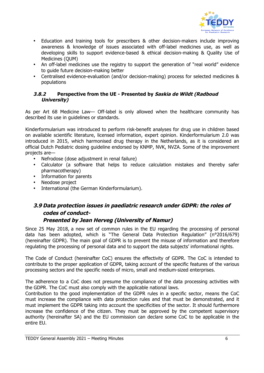

- Education and training tools for prescribers & other decision-makers include improving awareness & knowledge of issues associated with off-label medicines use, as well as developing skills to support evidence-based & ethical decision-making & Quality Use of Medicines (QUM)
- An off-label medicines use the registry to support the generation of "real world" evidence to guide future decision-making better
- Centralised evidence-evaluation (and/or decision-making) process for selected medicines & populations

#### **3.8.2 Perspective from the UE - Presented by Saskia de Wildt (Radboud University)**

As per Art 68 Medicine Law— Off-label is only allowed when the healthcare community has described its use in guidelines or standards.

Kinderformularium was introduced to perform risk-benefit analyses for drug use in children based on available scientific literature, licensed information, expert opinion. Kinderformularium 2.0 was introduced in 2015, which harmonised drug therapy in the Netherlands, as it is considered an official Dutch Pediatric dosing guideline endorsed by KNMP, NVK, NVZA. Some of the improvement projects are—

- Nefrodose (dose adjustment in renal failure)
- Calculator (a software that helps to reduce calculation mistakes and thereby safer pharmacotherapy)
- Information for parents
- Neodose project
- International (the German Kinderformularium).

### **3.9 Data protection issues in paediatric research under GDPR: the roles of codes of conduct-**

#### **Presented by Jean Herveg (University of Namur)**

Since 25 May 2018, a new set of common rules in the EU regarding the processing of personal data has been adopted, which is "The General Data Protection Regulation" (n°2016/679) (hereinafter GDPR). The main goal of GDPR is to prevent the misuse of information and therefore regulating the processing of personal data and to support the data subjects' informational rights.

The Code of Conduct (hereinafter CoC) ensures the effectivity of GDPR. The CoC is intended to contribute to the proper application of GDPR, taking account of the specific features of the various processing sectors and the specific needs of micro, small and medium-sized enterprises.

The adherence to a CoC does not presume the compliance of the data processing activities with the GDPR. The CoC must also comply with the applicable national laws.

Contribution to the good implementation of the GDPR rules in a specific sector, means the CoC must increase the compliance with data protection rules and that must be demonstrated, and it must implement the GDPR taking into account the specificities of the sector. It should furthermore increase the confidence of the citizen. They must be approved by the competent supervisory authority (hereinafter SA) and the EU commission can declare some CoC to be applicable in the entire EU.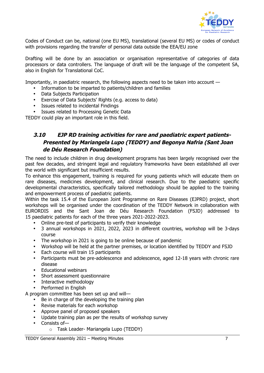

Codes of Conduct can be, national (one EU MS), translational (several EU MS) or codes of conduct with provisions regarding the transfer of personal data outside the EEA/EU zone

Drafting will be done by an association or organisation representative of categories of data processors or data controllers. The language of draft will be the language of the competent SA, also in English for Translational CoC.

Importantly, in paediatric research, the following aspects need to be taken into account —

- Information to be imparted to patients/children and families
- Data Subjects Participation
- Exercise of Data Subjects' Rights (e.g. access to data)
- Issues related to incidental Findings
- Issues related to Processing Genetic Data

TEDDY could play an important role in this field.

#### **3.10 EJP RD training activities for rare and paediatric expert patients-Presented by Mariangela Lupo (TEDDY) and Begonya Nafria (Sant Joan de Déu Research Foundation)**

The need to include children in drug development programs has been largely recognised over the past few decades, and stringent legal and regulatory frameworks have been established all over the world with significant but insufficient results.

To enhance this engagement, training is required for young patients which will educate them on rare diseases, medicines development, and clinical research. Due to the paediatric specific developmental characteristics, specifically tailored methodology should be applied to the training and empowerment process of paediatric patients.

Within the task 15.4 of the European Joint Programme on Rare Diseases (EJPRD) project, short workshops will be organised under the coordination of the TEDDY Network in collaboration with EURORDIS and the Sant Joan de Déu Research Foundation (FSJD) addressed to 15 paediatric patients for each of the three years 2021-2022-2023.

- Online pre-test of participants to verify their knowledge
- 3 annual workshops in 2021, 2022, 2023 in different countries, workshop will be 3-days course
- The workshop in 2021 is going to be online because of pandemic
- Workshop will be held at the partner premises, or location identified by TEDDY and FSJD
- Each course will train 15 participants
- Participants must be pre-adolescence and adolescence, aged 12-18 years with chronic rare disease
- Educational webinars
- Short assessment questionnaire
- Interactive methodology
- Performed in English

A program committee has been set up and will—

- Be in charge of the developing the training plan
- Revise materials for each workshop
- Approve panel of proposed speakers
- Update training plan as per the results of workshop survey
- Consists of
	- o Task Leader- Mariangela Lupo (TEDDY)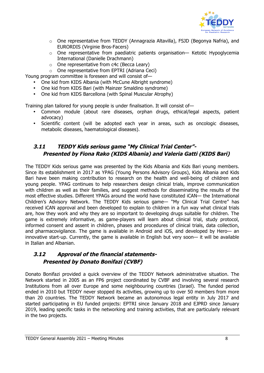

- o One representative from TEDDY (Annagrazia Altavilla), FSJD (Begonya Nafria), and EURORDIS (Virginie Bros-Facers)
- o One representative from paediatric patients organisation— Ketotic Hypoglycemia International (Danielle Drachmann)
- o One representative from c4c (Becca Leary)

o One representative from EPTRI (Adriana Ceci)

Young program committee is foreseen and will consist of—

- One kid from KIDS Albania (with McCune Albright syndrome)
- One kid from KIDS Bari (with Mainzer Smaldino syndrome)
- One kid from KIDS Barcellona (with Spinal Muscular Atrophy)

Training plan tailored for young people is under finalisation. It will consist of—

- Common module (about rare diseases, orphan drugs, ethical/legal aspects, patient advocacy)
- Scientific content (will be adopted each year in areas, such as oncologic diseases, metabolic diseases, haematological diseases).

#### **3.11 TEDDY Kids serious game "My Clinical Trial Center"- Presented by Fiona Rako (KIDS Albania) and Valeria Gatti (KIDS Bari)**

The TEDDY Kids serious game was presented by the Kids Albania and Kids Bari young members. Since its establishment in 2017 as YPAG (Young Persons Advisory Groups), Kids Albania and Kids Bari have been making contribution to research on the health and well-being of children and young people. YPAG continues to help researchers design clinical trials, improve communication with children as well as their families, and suggest methods for disseminating the results of the most effective studies. Different YPAGs around the world have constituted iCAN— the International Children's Advisory Network. The TEDDY Kids serious game— "My Clinical Trial Centre" has received iCAN approval and been developed to explain to children in a fun way what clinical trials are, how they work and why they are so important to developing drugs suitable for children. The game is extremely informative, as game-players will learn about clinical trial, study protocol, informed consent and assent in children, phases and procedures of clinical trials, data collection, and pharmacovigilance. The game is available in Android and iOS, and developed by Hero— an innovative start-up. Currently, the game is available in English but very soon— it will be available in Italian and Albanian.

#### **3.12 Approval of the financial statements-Presented by Donato Bonifazi (CVBF)**

Donato Bonifazi provided a quick overview of the TEDDY Network administrative situation. The Network started in 2005 as an FP6 project coordinated by CVBF and involving several research Institutions from all over Europe and some neighbouring countries (Israel). The funded period ended in 2010 but TEDDY never stopped its activities, growing up to over 50 members from more than 20 countries. The TEDDY Network became an autonomous legal entity in July 2017 and started participating in EU funded projects: EPTRI since January 2018 and EJPRD since January 2019, leading specific tasks in the networking and training activities, that are particularly relevant in the two projects.